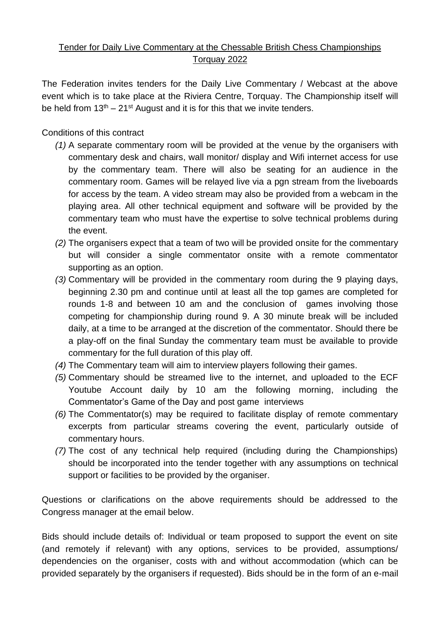## Tender for Daily Live Commentary at the Chessable British Chess Championships Torquay 2022

The Federation invites tenders for the Daily Live Commentary / Webcast at the above event which is to take place at the Riviera Centre, Torquay. The Championship itself will be held from  $13<sup>th</sup> - 21<sup>st</sup>$  August and it is for this that we invite tenders.

## Conditions of this contract

- *(1)* A separate commentary room will be provided at the venue by the organisers with commentary desk and chairs, wall monitor/ display and Wifi internet access for use by the commentary team. There will also be seating for an audience in the commentary room. Games will be relayed live via a pgn stream from the liveboards for access by the team. A video stream may also be provided from a webcam in the playing area. All other technical equipment and software will be provided by the commentary team who must have the expertise to solve technical problems during the event.
- *(2)* The organisers expect that a team of two will be provided onsite for the commentary but will consider a single commentator onsite with a remote commentator supporting as an option.
- *(3)* Commentary will be provided in the commentary room during the 9 playing days, beginning 2.30 pm and continue until at least all the top games are completed for rounds 1-8 and between 10 am and the conclusion of games involving those competing for championship during round 9. A 30 minute break will be included daily, at a time to be arranged at the discretion of the commentator. Should there be a play-off on the final Sunday the commentary team must be available to provide commentary for the full duration of this play off.
- *(4)* The Commentary team will aim to interview players following their games.
- *(5)* Commentary should be streamed live to the internet, and uploaded to the ECF Youtube Account daily by 10 am the following morning, including the Commentator's Game of the Day and post game interviews
- *(6)* The Commentator(s) may be required to facilitate display of remote commentary excerpts from particular streams covering the event, particularly outside of commentary hours.
- *(7)* The cost of any technical help required (including during the Championships) should be incorporated into the tender together with any assumptions on technical support or facilities to be provided by the organiser.

Questions or clarifications on the above requirements should be addressed to the Congress manager at the email below.

Bids should include details of: Individual or team proposed to support the event on site (and remotely if relevant) with any options, services to be provided, assumptions/ dependencies on the organiser, costs with and without accommodation (which can be provided separately by the organisers if requested). Bids should be in the form of an e-mail